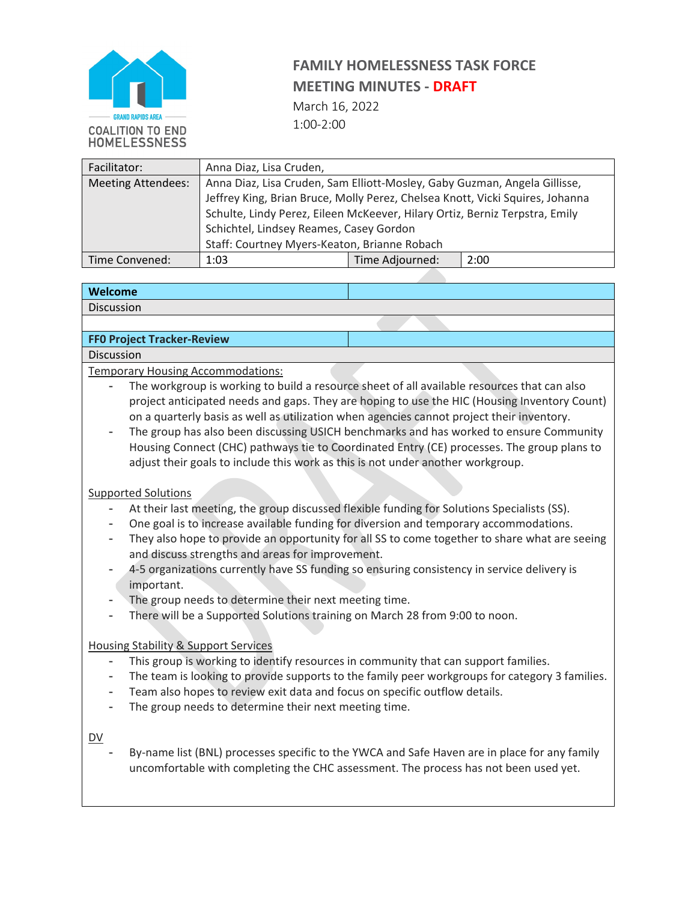

# **FAMILY HOMELESSNESS TASK FORCE MEETING MINUTES - DRAFT**

March 16, 2022 1:00-2:00

| Facilitator:              | Anna Diaz, Lisa Cruden,                                                       |                 |      |  |  |
|---------------------------|-------------------------------------------------------------------------------|-----------------|------|--|--|
| <b>Meeting Attendees:</b> | Anna Diaz, Lisa Cruden, Sam Elliott-Mosley, Gaby Guzman, Angela Gillisse,     |                 |      |  |  |
|                           | Jeffrey King, Brian Bruce, Molly Perez, Chelsea Knott, Vicki Squires, Johanna |                 |      |  |  |
|                           | Schulte, Lindy Perez, Eileen McKeever, Hilary Ortiz, Berniz Terpstra, Emily   |                 |      |  |  |
|                           | Schichtel, Lindsey Reames, Casey Gordon                                       |                 |      |  |  |
|                           | Staff: Courtney Myers-Keaton, Brianne Robach                                  |                 |      |  |  |
| Time Convened:            | 1:03                                                                          | Time Adjourned: | 2:00 |  |  |

### **Welcome**

Discussion

### **FF0 Project Tracker-Review**

Discussion

Temporary Housing Accommodations:

- The workgroup is working to build a resource sheet of all available resources that can also project anticipated needs and gaps. They are hoping to use the HIC (Housing Inventory Count) on a quarterly basis as well as utilization when agencies cannot project their inventory.
- The group has also been discussing USICH benchmarks and has worked to ensure Community Housing Connect (CHC) pathways tie to Coordinated Entry (CE) processes. The group plans to adjust their goals to include this work as this is not under another workgroup.

### Supported Solutions

- At their last meeting, the group discussed flexible funding for Solutions Specialists (SS).
- One goal is to increase available funding for diversion and temporary accommodations.
- They also hope to provide an opportunity for all SS to come together to share what are seeing and discuss strengths and areas for improvement.
- 4-5 organizations currently have SS funding so ensuring consistency in service delivery is important.
- The group needs to determine their next meeting time.
- There will be a Supported Solutions training on March 28 from 9:00 to noon.

### Housing Stability & Support Services

- This group is working to identify resources in community that can support families.
- The team is looking to provide supports to the family peer workgroups for category 3 families.
- Team also hopes to review exit data and focus on specific outflow details.
- The group needs to determine their next meeting time.

### DV

By-name list (BNL) processes specific to the YWCA and Safe Haven are in place for any family uncomfortable with completing the CHC assessment. The process has not been used yet.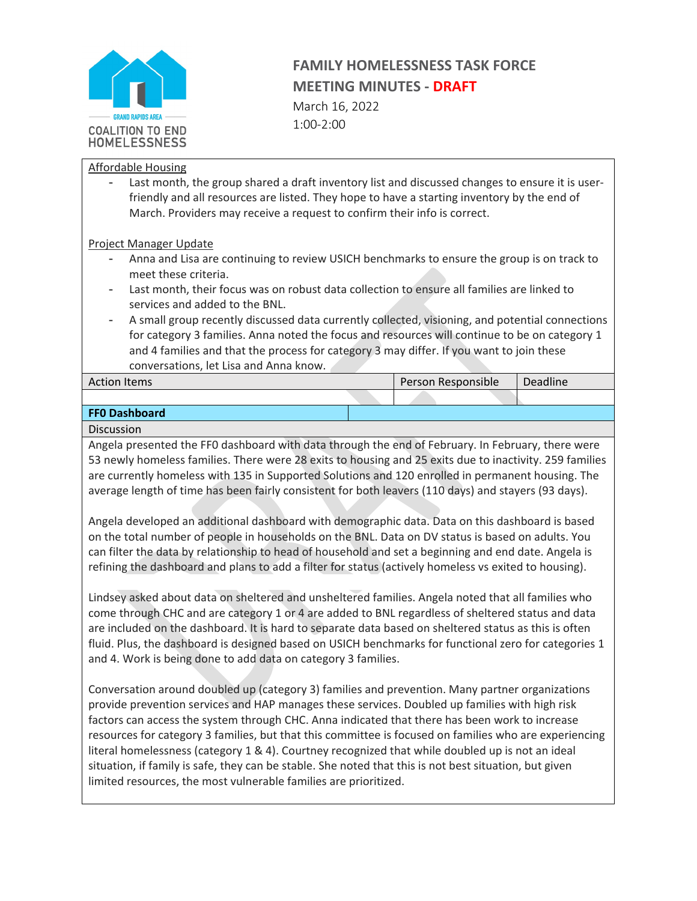

### **FAMILY HOMELESSNESS TASK FORCE MEETING MINUTES - DRAFT**

March 16, 2022 1:00-2:00

### Affordable Housing

Last month, the group shared a draft inventory list and discussed changes to ensure it is userfriendly and all resources are listed. They hope to have a starting inventory by the end of March. Providers may receive a request to confirm their info is correct.

### Project Manager Update

- Anna and Lisa are continuing to review USICH benchmarks to ensure the group is on track to meet these criteria.
- Last month, their focus was on robust data collection to ensure all families are linked to services and added to the BNL.
- A small group recently discussed data currently collected, visioning, and potential connections for category 3 families. Anna noted the focus and resources will continue to be on category 1 and 4 families and that the process for category 3 may differ. If you want to join these conversations, let Lisa and Anna know.

| <b>Action Items</b>  |  | Person Responsible |  | Deadline |
|----------------------|--|--------------------|--|----------|
|                      |  |                    |  |          |
| <b>FFO Dashboard</b> |  |                    |  |          |

### **Discussion**

Angela presented the FF0 dashboard with data through the end of February. In February, there were 53 newly homeless families. There were 28 exits to housing and 25 exits due to inactivity. 259 families are currently homeless with 135 in Supported Solutions and 120 enrolled in permanent housing. The average length of time has been fairly consistent for both leavers (110 days) and stayers (93 days).

Angela developed an additional dashboard with demographic data. Data on this dashboard is based on the total number of people in households on the BNL. Data on DV status is based on adults. You can filter the data by relationship to head of household and set a beginning and end date. Angela is refining the dashboard and plans to add a filter for status (actively homeless vs exited to housing).

Lindsey asked about data on sheltered and unsheltered families. Angela noted that all families who come through CHC and are category 1 or 4 are added to BNL regardless of sheltered status and data are included on the dashboard. It is hard to separate data based on sheltered status as this is often fluid. Plus, the dashboard is designed based on USICH benchmarks for functional zero for categories 1 and 4. Work is being done to add data on category 3 families.

Conversation around doubled up (category 3) families and prevention. Many partner organizations provide prevention services and HAP manages these services. Doubled up families with high risk factors can access the system through CHC. Anna indicated that there has been work to increase resources for category 3 families, but that this committee is focused on families who are experiencing literal homelessness (category 1 & 4). Courtney recognized that while doubled up is not an ideal situation, if family is safe, they can be stable. She noted that this is not best situation, but given limited resources, the most vulnerable families are prioritized.